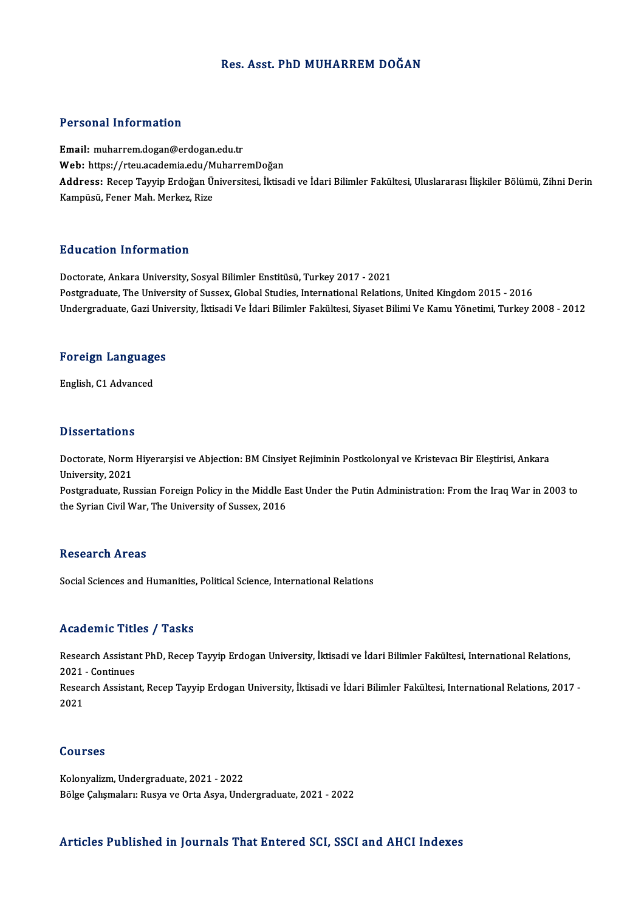#### Res. Asst. PhD MUHARREM DOĞAN

#### Personal Information

Email: muharrem.dogan@erdogan.edu.tr Web: https://rteu.academia.edu/MuharremDoğan **Email:** muharrem.dogan@erdogan.edu.tr<br>Web: https://rteu.academia.edu/MuharremDoğan<br>Address: Recep Tayyip Erdoğan Üniversitesi, İktisadi ve İdari Bilimler Fakültesi, Uluslararası İlişkiler Bölümü, Zihni Derin<br>Kampüsü, Fene Web: https://rteu.academia.edu/M<br><mark>Address:</mark> Recep Tayyip Erdoğan Ü<sub>l</sub><br>Kampüsü, Fener Mah. Merkez, Rize

#### Education Information

Doctorate, Ankara University, Sosyal Bilimler Enstitüsü, Turkey 2017 - 2021 Postgraduate, The University of Sussex, Global Studies, International Relations, United Kingdom 2015 - 2016 Undergraduate, Gazi University, İktisadi Ve İdari Bilimler Fakültesi, Siyaset Bilimi Ve Kamu Yönetimi, Turkey 2008 - 2012

## <sub>Undergraduate, Gazi Univ<br>Foreign Languages</sub> F<mark>oreign Languag</mark>e<br>English, C1 Advanced

English, C1 Advanced<br>Dissertations

**Dissertations**<br>Doctorate, Norm Hiyerarşisi ve Abjection: BM Cinsiyet Rejiminin Postkolonyal ve Kristevacı Bir Eleştirisi, Ankara<br>University, 2021 Dissolitations<br>Doctorate, Norm<br>University, 2021 Doctorate, Norm Hiyerarşisi ve Abjection: BM Cinsiyet Rejiminin Postkolonyal ve Kristevacı Bir Eleştirisi, Ankara<br>University, 2021<br>Postgraduate, Russian Foreign Policy in the Middle East Under the Putin Administration: Fro

University, 2021<br>Postgraduate, Russian Foreign Policy in the Middle E<br>the Syrian Civil War, The University of Sussex, 2016 the Syrian Civil War, The University of Sussex, 2016<br>Research Areas

Social Sciences and Humanities, Political Science, International Relations

#### Academic Titles / Tasks

Academic Titles / Tasks<br>Research Assistant PhD, Recep Tayyip Erdogan University, İktisadi ve İdari Bilimler Fakültesi, International Relations,<br>2021 - Continues Execution Press<br>Research Assistan<br>2021 - Continues<br>Research Assistan Research Assistant PhD, Recep Tayyip Erdogan University, İktisadi ve İdari Bilimler Fakültesi, International Relations,<br>2021 - Continues<br>Research Assistant, Recep Tayyip Erdogan University, İktisadi ve İdari Bilimler Fakül

2021<br>Resea<br>2021 2021<br>Courses

Kolonyalizm,Undergraduate,2021 -2022 Bölge Çalışmaları: Rusya ve Orta Asya, Undergraduate, 2021 - 2022

#### Articles Published in Journals That Entered SCI, SSCI and AHCI Indexes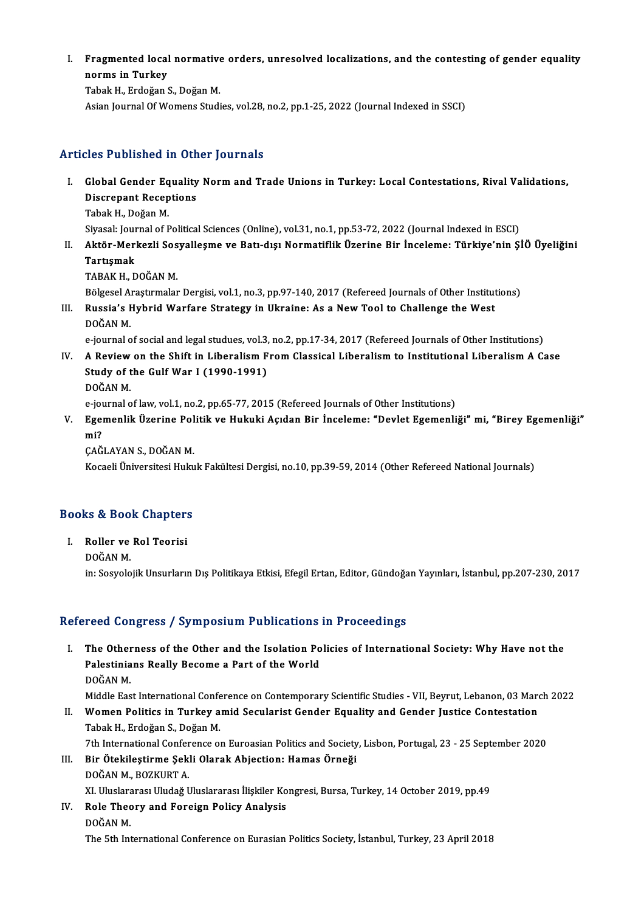I. Fragmented local normative orders, unresolved localizations, and the contesting of gender equality Fragmented local<br>norms in Turkey<br><sup>Tobol: H. Endožon (</sup> Fragmented local normative<br>norms in Turkey<br>Tabak H., Erdoğan S., Doğan M.<br>Asian Jounnal Of Wemens Studi **norms in Turkey**<br>Tabak H., Erdoğan S., Doğan M.<br>Asian Journal Of Womens Studies, vol.28, no.2, pp.1-25, 2022 (Journal Indexed in SSCI)

## Articles Published in Other Journals

- rticles Published in Other Journals<br>I. Global Gender Equality Norm and Trade Unions in Turkey: Local Contestations, Rival Validations,<br>Discrepant Beceptions *Choose Chomolou III Cult*<br>Global Gender Equality<br>Discrepant Receptions<br>Tabak H. Dečan M. Global Gender Eq<br>Discrepant Recep<br>Tabak H., Doğan M.<br>Siyasak Jaumal of E Discrepant Receptions<br>Tabak H., Doğan M.<br>Siyasal: Journal of Political Sciences (Online), vol.31, no.1, pp.53-72, 2022 (Journal Indexed in ESCI)<br>Aktër Merkerli Sesvallesme ve Betudie: Normatiflik Üserine Bir İnseleme: Türk
	-
- Tabak H., Doğan M.<br>Siyasal: Journal of Political Sciences (Online), vol.31, no.1, pp.53-72, 2022 (Journal Indexed in ESCI)<br>II. Aktör-Merkezli Sosyalleşme ve Batı-dışı Normatiflik Üzerine Bir İnceleme: Türkiye'nin ŞİÖ Ü Siyasal: Jour<br><mark>Aktör-Mer</mark><br>Tartışmak<br>TARAK H <mark>Aktör-Merkezli Sos</mark><br>Tartışmak<br>TABAK H., DOĞAN M.<br>Pölzesel Arestrmalar Tartışmak<br>TABAK H., DOĞAN M.<br>Bölgesel Araştırmalar Dergisi, vol.1, no.3, pp.97-140, 2017 (Refereed Journals of Other Institutions)

TABAK H., DOĞAN M.<br>Bölgesel Araştırmalar Dergisi, vol.1, no.3, pp.97-140, 2017 (Refereed Journals of Other Institut<br>III. Russia's Hybrid Warfare Strategy in Ukraine: As a New Tool to Challenge the West<br>POČAN M Bölgesel A<br>**Russia's F<br>DOĞAN M.**<br>A İournal o Russia's Hybrid Warfare Strategy in Ukraine: As a New Tool to Challenge the West<br>DOĞAN M.<br>e-journal of social and legal studues, vol.3, no.2, pp.17-34, 2017 (Refereed Journals of Other Institutions)<br>A Boview on the Shift i

DOĞAN M.<br>1990 - e-journal of social and legal studues, vol.3, no.2, pp.17-34, 2017 (Refereed Journals of Other Institutions)<br>IV. A Review on the Shift in Liberalism From Classical Liberalism to Institutional Liberalism A C e-journal of social and legal studues, vol.3,<br>A Review on the Shift in Liberalism F<br>Study of the Gulf War I (1990-1991)<br>DOČAN M A Review<br>Study of t<br>DOĞAN M.<br>A İournal o Study of the Gulf War I (1990-1991)<br>DOĞAN M.<br>e-journal of law, vol.1, no.2, pp.65-77, 2015 (Refereed Journals of Other Institutions)

DOĞAN M.<br>1. e-journal of law, vol.1, no.2, pp.65-77, 2015 (Refereed Journals of Other Institutions)<br>1. Egemenlik Üzerine Politik ve Hukuki Açıdan Bir İnceleme: "Devlet Egemenliği" mi, "Birey Egemenliği"<br>1. mi? e-jou<br><mark>Ege</mark>i<br>mi?<br>CAČ Egemenlik Üzerine Pol<br>mi?<br>ÇAĞLAYAN S., DOĞAN M.<br>Kosaali Üniversitesi Hulm mi?<br>ÇAĞLAYAN S., DOĞAN M.<br>Kocaeli Üniversitesi Hukuk Fakültesi Dergisi, no.10, pp.39-59, 2014 (Other Refereed National Journals)

# kocaen oniversitesi Huku<br>Books & Book Chapters

ooks & Book Chapter:<br>I. Roller ve Rol Teorisi<br>DOČAN M I. Roller ve Rol Teorisi<br>DOĞAN M. in: Sosyolojik Unsurların Dış Politikaya Etkisi, Efegil Ertan, Editor, Gündoğan Yayınları, İstanbul, pp.207-230, 2017

#### Refereed Congress / Symposium Publications in Proceedings

efereed Congress / Symposium Publications in Proceedings<br>I. The Otherness of the Other and the Isolation Policies of International Society: Why Have not the<br>Pelestinians Boelly Bosome a Bart of the World The Otherness of the Other and the Isolation Po<br>Palestinians Really Become a Part of the World<br>DOČAN M The Other<br>Palestinia<br>DOĞAN M.<br>Middle Fes Palestinians Really Become a Part of the World<br>DOĞAN M.<br>Middle East International Conference on Contemporary Scientific Studies - VII, Beyrut, Lebanon, 03 March 2022

- II. Women Politics in Turkey amid Secularist Gender Equality and Gender Justice Contestation TabakH.,ErdoğanS.,DoğanM. Women Politics in Turkey amid Secularist Gender Equality and Gender Justice Contestation<br>Tabak H., Erdoğan S., Doğan M.<br>7th International Conference on Euroasian Politics and Society, Lisbon, Portugal, 23 - 25 September 20
- III. Bir Ötekileştirme Şekli Olarak Abjection: Hamas Örneği<br>DOĞAN M., BOZKURT A. 7th International Confer<br>Bir Ötekileştirme Şek<br>DOĞAN M., BOZKURT A.<br>YL Uluelararesı Uludağ L Bir Ötekileştirme Şekli Olarak Abjection: Hamas Örneği<br>DOĞAN M., BOZKURT A.<br>XI. Uluslararası Uludağ Uluslararası İlişkiler Kongresi, Bursa, Turkey, 14 October 2019, pp.49<br>Polo Theory and Eoneign Polisy Analysis

IV. Role Theory and Foreign Policy Analysis XI. Uluslara<br><mark>Role Thec</mark><br>DOĞAN M.<br><sup>The Eth Int</sup>

The 5th InternationalConference onEurasianPolitics Society, İstanbul,Turkey,23April2018